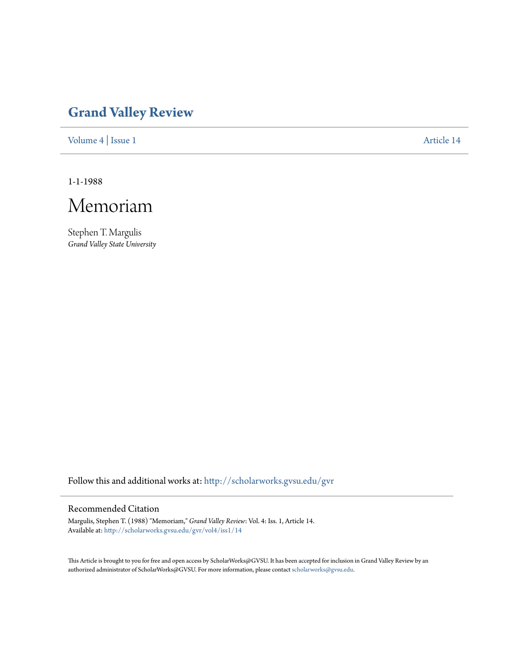## **[Grand Valley Review](http://scholarworks.gvsu.edu/gvr?utm_source=scholarworks.gvsu.edu%2Fgvr%2Fvol4%2Fiss1%2F14&utm_medium=PDF&utm_campaign=PDFCoverPages)**

[Volume 4](http://scholarworks.gvsu.edu/gvr/vol4?utm_source=scholarworks.gvsu.edu%2Fgvr%2Fvol4%2Fiss1%2F14&utm_medium=PDF&utm_campaign=PDFCoverPages) | [Issue 1](http://scholarworks.gvsu.edu/gvr/vol4/iss1?utm_source=scholarworks.gvsu.edu%2Fgvr%2Fvol4%2Fiss1%2F14&utm_medium=PDF&utm_campaign=PDFCoverPages) [Article 14](http://scholarworks.gvsu.edu/gvr/vol4/iss1/14?utm_source=scholarworks.gvsu.edu%2Fgvr%2Fvol4%2Fiss1%2F14&utm_medium=PDF&utm_campaign=PDFCoverPages)

1-1-1988



Stephen T. Margulis *Grand Valley State University*

Follow this and additional works at: [http://scholarworks.gvsu.edu/gvr](http://scholarworks.gvsu.edu/gvr?utm_source=scholarworks.gvsu.edu%2Fgvr%2Fvol4%2Fiss1%2F14&utm_medium=PDF&utm_campaign=PDFCoverPages)

#### Recommended Citation

Margulis, Stephen T. (1988) "Memoriam," *Grand Valley Review*: Vol. 4: Iss. 1, Article 14. Available at: [http://scholarworks.gvsu.edu/gvr/vol4/iss1/14](http://scholarworks.gvsu.edu/gvr/vol4/iss1/14?utm_source=scholarworks.gvsu.edu%2Fgvr%2Fvol4%2Fiss1%2F14&utm_medium=PDF&utm_campaign=PDFCoverPages)

This Article is brought to you for free and open access by ScholarWorks@GVSU. It has been accepted for inclusion in Grand Valley Review by an authorized administrator of ScholarWorks@GVSU. For more information, please contact [scholarworks@gvsu.edu.](mailto:scholarworks@gvsu.edu)